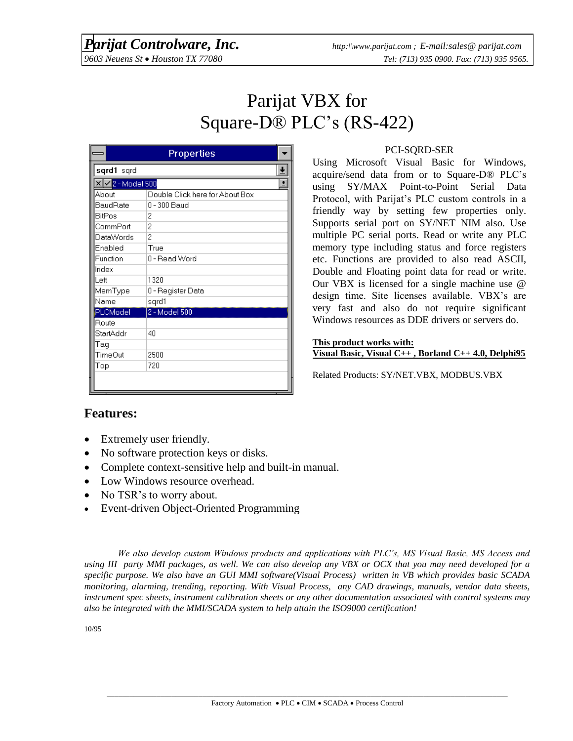# Parijat VBX for Square-D® PLC's (RS-422)

|                                                               | Properties                      |  |
|---------------------------------------------------------------|---------------------------------|--|
| sqrd1 sqrd                                                    |                                 |  |
| $\overline{\mathbf{X}}$ $\overline{\mathbf{V}}$ 2 - Model 500 |                                 |  |
| About                                                         | Double Click here for About Box |  |
| BaudRate                                                      | 0 - 300 Baud                    |  |
| <b>BitPos</b>                                                 | 2                               |  |
| CommPort                                                      | 2                               |  |
| DataWords                                                     | 2                               |  |
| Enabled                                                       | True                            |  |
| Function                                                      | 0 - Read Word                   |  |
| Index                                                         |                                 |  |
| Left                                                          | 1320                            |  |
| MemType                                                       | 0 - Register Data               |  |
| Name                                                          | sgrd1                           |  |
| PLCModel                                                      | 2 - Model 500                   |  |
| Route                                                         |                                 |  |
| StartAddr                                                     | 40                              |  |
| Tag                                                           |                                 |  |
| TimeOut                                                       | 2500                            |  |
| Top                                                           | 720                             |  |
|                                                               |                                 |  |

#### PCI-SQRD-SER

Using Microsoft Visual Basic for Windows, acquire/send data from or to Square-D® PLC's using SY/MAX Point-to-Point Serial Data Protocol, with Parijat's PLC custom controls in a friendly way by setting few properties only. Supports serial port on SY/NET NIM also. Use multiple PC serial ports. Read or write any PLC memory type including status and force registers etc. Functions are provided to also read ASCII, Double and Floating point data for read or write. Our VBX is licensed for a single machine use @ design time. Site licenses available. VBX's are very fast and also do not require significant Windows resources as DDE drivers or servers do.

#### **This product works with: Visual Basic, Visual C++ , Borland C++ 4.0, Delphi95**

Related Products: SY/NET.VBX, MODBUS.VBX

## **Features:**

- Extremely user friendly.
- No software protection keys or disks.
- Complete context-sensitive help and built-in manual.
- Low Windows resource overhead.
- No TSR's to worry about.
- Event-driven Object-Oriented Programming

*We also develop custom Windows products and applications with PLC's, MS Visual Basic, MS Access and using III party MMI packages, as well. We can also develop any VBX or OCX that you may need developed for a specific purpose. We also have an GUI MMI software(Visual Process) written in VB which provides basic SCADA monitoring, alarming, trending, reporting. With Visual Process, any CAD drawings, manuals, vendor data sheets, instrument spec sheets, instrument calibration sheets or any other documentation associated with control systems may also be integrated with the MMI/SCADA system to help attain the ISO9000 certification!*

10/95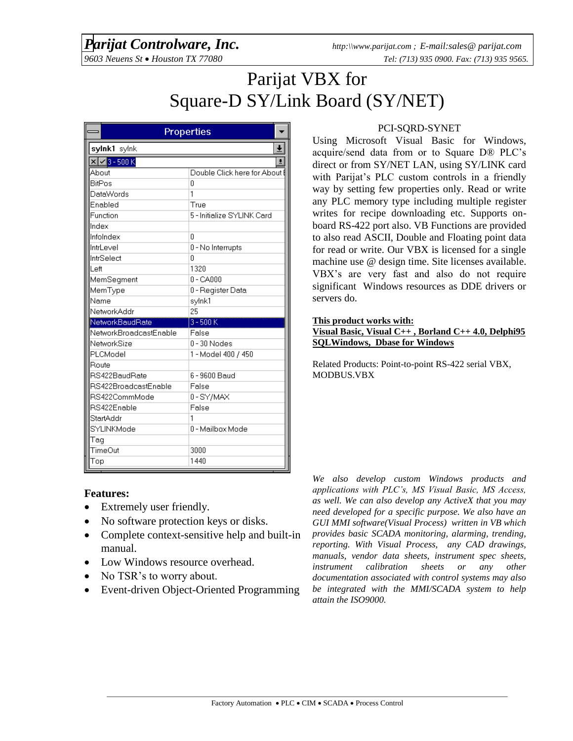# *Parijat Controlware, Inc. http:\\www.parijat.com ; E-mail:sales@ parijat.com*

# Parijat VBX for Square-D SY/Link Board (SY/NET)

|                                     | Properties                    |
|-------------------------------------|-------------------------------|
| sylnk1 sylnk                        |                               |
| $\mathbf{X}$ $\mathbf{V}$ 3 - 500 K |                               |
| About                               | Double Click here for About I |
| <b>BitPos</b>                       | Ū                             |
| DataWords                           | 1                             |
| Enabled                             | True                          |
| Function                            | 5 - Initialize SYLINK Card    |
| Index                               |                               |
| Infolndex                           | 0                             |
| IntrLevel                           | 0 - No Interrupts             |
| IntrSelect                          | Ū                             |
| Left                                | 1320                          |
| MemSeqment                          | $0 - CA000$                   |
| MemType                             | 0 - Register Data             |
| Name                                | sylnk1                        |
| NetworkAddr                         | 25                            |
| NetworkBaudRate                     | $3 - 500K$                    |
| NetworkBroadcastEnable              | False                         |
| NetworkSize                         | 0 - 30 Nodes                  |
| PLCModel                            | 1 - Model 400 / 450           |
| Route                               |                               |
| RS422BaudRate                       | 6 - 9600 Baud                 |
| RS422BroadcastEnable                | False                         |
| RS422CommMode                       | 0-SY/MAX                      |
| RS422Enable                         | False                         |
| StartAddr                           | 1                             |
| SYLINKMode                          | 0 - Mailbox Mode              |
| Taq                                 |                               |
| TimeOut                             | 3000                          |
| Top                                 | 1440                          |

### PCI-SQRD-SYNET

Using Microsoft Visual Basic for Windows, acquire/send data from or to Square D® PLC's direct or from SY/NET LAN, using SY/LINK card with Parijat's PLC custom controls in a friendly way by setting few properties only. Read or write any PLC memory type including multiple register writes for recipe downloading etc. Supports onboard RS-422 port also. VB Functions are provided to also read ASCII, Double and Floating point data for read or write. Our VBX is licensed for a single machine use @ design time. Site licenses available. VBX's are very fast and also do not require significant Windows resources as DDE drivers or servers do.

#### **This product works with:**

#### **Visual Basic, Visual C++ , Borland C++ 4.0, Delphi95 SQLWindows, Dbase for Windows**

Related Products: Point-to-point RS-422 serial VBX, MODBUS.VBX

### **Features:**

- Extremely user friendly.
- No software protection keys or disks.
- Complete context-sensitive help and built-in manual.
- Low Windows resource overhead.
- No TSR's to worry about.
- Event-driven Object-Oriented Programming

*We also develop custom Windows products and applications with PLC's, MS Visual Basic, MS Access, as well. We can also develop any ActiveX that you may need developed for a specific purpose. We also have an GUI MMI software(Visual Process) written in VB which provides basic SCADA monitoring, alarming, trending, reporting. With Visual Process, any CAD drawings, manuals, vendor data sheets, instrument spec sheets, instrument calibration sheets or any other documentation associated with control systems may also be integrated with the MMI/SCADA system to help attain the ISO9000.*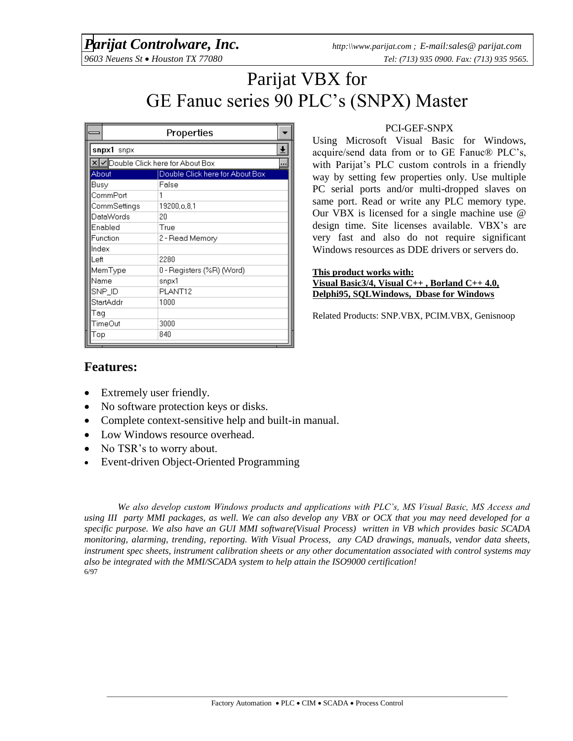# *Parijat Controlware, Inc. http:\\www.parijat.com ; E-mail:sales@ parijat.com*

# Parijat VBX for GE Fanuc series 90 PLC's (SNPX) Master

|                                   | Properties                      |  |
|-----------------------------------|---------------------------------|--|
| snpx1 snpx                        |                                 |  |
| X Double Click here for About Box |                                 |  |
| About                             | Double Click here for About Box |  |
| Busy                              | False                           |  |
| CommPort                          | 1                               |  |
| CommSettings                      | 19200.o.8.1                     |  |
| <b>DataWords</b>                  | 20                              |  |
| Enabled                           | True                            |  |
| Function                          | 2 - Read Memory                 |  |
| Index                             |                                 |  |
| Left                              | 2280                            |  |
| MemType                           | 0 - Registers (%R) (Word)       |  |
| Name                              | snpx1                           |  |
| SNP_ID                            | PLANT12                         |  |
| StartAddr                         | 1000                            |  |
| Taq                               |                                 |  |
| TimeOut                           | 3000                            |  |
| Top                               | 840                             |  |

### PCI-GEF-SNPX

Using Microsoft Visual Basic for Windows, acquire/send data from or to GE Fanuc® PLC's, with Parijat's PLC custom controls in a friendly way by setting few properties only. Use multiple PC serial ports and/or multi-dropped slaves on same port. Read or write any PLC memory type. Our VBX is licensed for a single machine use @ design time. Site licenses available. VBX's are very fast and also do not require significant Windows resources as DDE drivers or servers do.

#### **This product works with:**

**Visual Basic3/4, Visual C++ , Borland C++ 4.0, Delphi95, SQLWindows, Dbase for Windows**

Related Products: SNP.VBX, PCIM.VBX, Genisnoop

## **Features:**

- Extremely user friendly.
- No software protection keys or disks.
- Complete context-sensitive help and built-in manual.
- Low Windows resource overhead.
- No TSR's to worry about.
- Event-driven Object-Oriented Programming

*We also develop custom Windows products and applications with PLC's, MS Visual Basic, MS Access and using III party MMI packages, as well. We can also develop any VBX or OCX that you may need developed for a specific purpose. We also have an GUI MMI software(Visual Process) written in VB which provides basic SCADA monitoring, alarming, trending, reporting. With Visual Process, any CAD drawings, manuals, vendor data sheets, instrument spec sheets, instrument calibration sheets or any other documentation associated with control systems may also be integrated with the MMI/SCADA system to help attain the ISO9000 certification!* 6/97